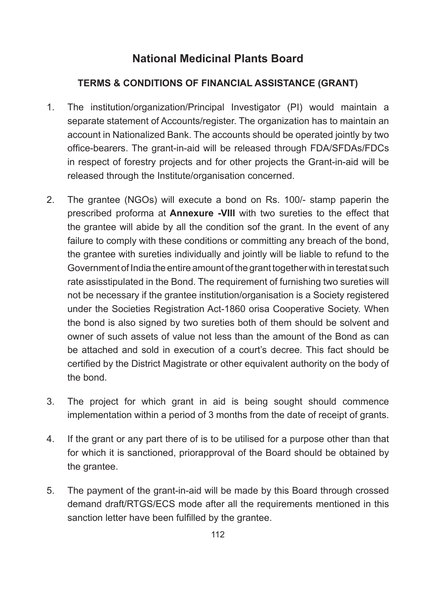## **National Medicinal Plants Board**

## **TERMS & CONDITIONS OF FINANCIAL ASSISTANCE (GRANT)**

- 1. The institution/organization/Principal Investigator (PI) would maintain a separate statement of Accounts/register. The organization has to maintain an account in Nationalized Bank. The accounts should be operated jointly by two office-bearers. The grant-in-aid will be released through FDA/SFDAs/FDCs in respect of forestry projects and for other projects the Grant-in-aid will be released through the Institute/organisation concerned.
- 2. The grantee (NGOs) will execute a bond on Rs. 100/- stamp paperin the prescribed proforma at **Annexure -VIII** with two sureties to the effect that the grantee will abide by all the condition sof the grant. In the event of any failure to comply with these conditions or committing any breach of the bond, the grantee with sureties individually and jointly will be liable to refund to the Government of India the entire amount of the grant together with in terestat such rate asisstipulated in the Bond. The requirement of furnishing two sureties will not be necessary if the grantee institution/organisation is a Society registered under the Societies Registration Act-1860 orisa Cooperative Society. When the bond is also signed by two sureties both of them should be solvent and owner of such assets of value not less than the amount of the Bond as can be attached and sold in execution of a court's decree. This fact should be certified by the District Magistrate or other equivalent authority on the body of the bond.
- 3. The project for which grant in aid is being sought should commence implementation within a period of 3 months from the date of receipt of grants.
- 4. If the grant or any part there of is to be utilised for a purpose other than that for which it is sanctioned, priorapproval of the Board should be obtained by the grantee.
- 5. The payment of the grant-in-aid will be made by this Board through crossed demand draft/RTGS/ECS mode after all the requirements mentioned in this sanction letter have been fulfilled by the grantee.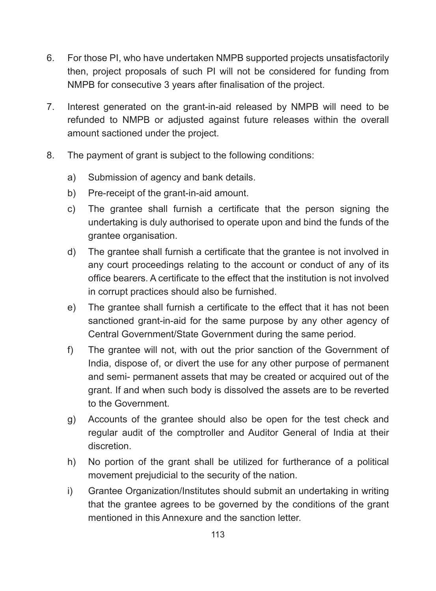- 6. For those PI, who have undertaken NMPB supported projects unsatisfactorily then, project proposals of such PI will not be considered for funding from NMPB for consecutive 3 years after finalisation of the project.
- 7. Interest generated on the grant-in-aid released by NMPB will need to be refunded to NMPB or adjusted against future releases within the overall amount sactioned under the project.
- 8. The payment of grant is subject to the following conditions:
	- a) Submission of agency and bank details.
	- b) Pre-receipt of the grant-in-aid amount.
	- c) The grantee shall furnish a certificate that the person signing the undertaking is duly authorised to operate upon and bind the funds of the grantee organisation.
	- d) The grantee shall furnish a certificate that the grantee is not involved in any court proceedings relating to the account or conduct of any of its office bearers. A certificate to the effect that the institution is not involved in corrupt practices should also be furnished.
	- e) The grantee shall furnish a certificate to the effect that it has not been sanctioned grant-in-aid for the same purpose by any other agency of Central Government/State Government during the same period.
	- f) The grantee will not, with out the prior sanction of the Government of India, dispose of, or divert the use for any other purpose of permanent and semi- permanent assets that may be created or acquired out of the grant. If and when such body is dissolved the assets are to be reverted to the Government.
	- g) Accounts of the grantee should also be open for the test check and regular audit of the comptroller and Auditor General of India at their discretion.
	- h) No portion of the grant shall be utilized for furtherance of a political movement prejudicial to the security of the nation.
	- i) Grantee Organization/Institutes should submit an undertaking in writing that the grantee agrees to be governed by the conditions of the grant mentioned in this Annexure and the sanction letter.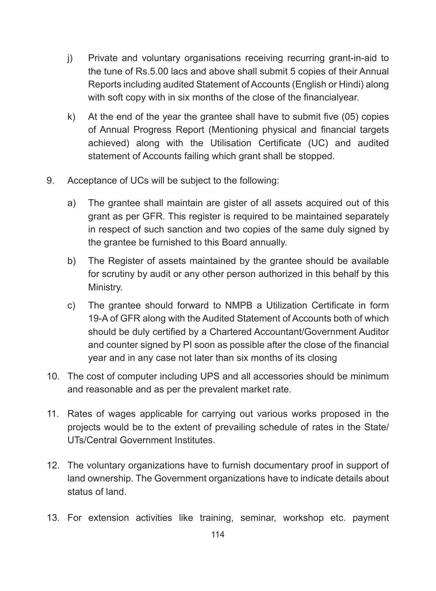- j) Private and voluntary organisations receiving recurring grant-in-aid to the tune of Rs.5.00 lacs and above shall submit 5 copies of their Annual Reports including audited Statement of Accounts (English or Hindi) along with soft copy with in six months of the close of the financialyear.
- k) At the end of the year the grantee shall have to submit five (05) copies of Annual Progress Report (Mentioning physical and financial targets achieved) along with the Utilisation Certificate (UC) and audited statement of Accounts failing which grant shall be stopped.
- 9. Acceptance of UCs will be subject to the following:
	- a) The grantee shall maintain are gister of all assets acquired out of this grant as per GFR. This register is required to be maintained separately in respect of such sanction and two copies of the same duly signed by the grantee be furnished to this Board annually.
	- b) The Register of assets maintained by the grantee should be available for scrutiny by audit or any other person authorized in this behalf by this Ministry.
	- c) The grantee should forward to NMPB a Utilization Certificate in form 19-A of GFR along with the Audited Statement of Accounts both of which should be duly certified by a Chartered Accountant/Government Auditor and counter signed by PI soon as possible after the close of the financial year and in any case not later than six months of its closing
- 10. The cost of computer including UPS and all accessories should be minimum and reasonable and as per the prevalent market rate.
- 11. Rates of wages applicable for carrying out various works proposed in the projects would be to the extent of prevailing schedule of rates in the State/ UTs/Central Government Institutes.
- 12. The voluntary organizations have to furnish documentary proof in support of land ownership. The Government organizations have to indicate details about status of land.
- 13. For extension activities like training, seminar, workshop etc. payment